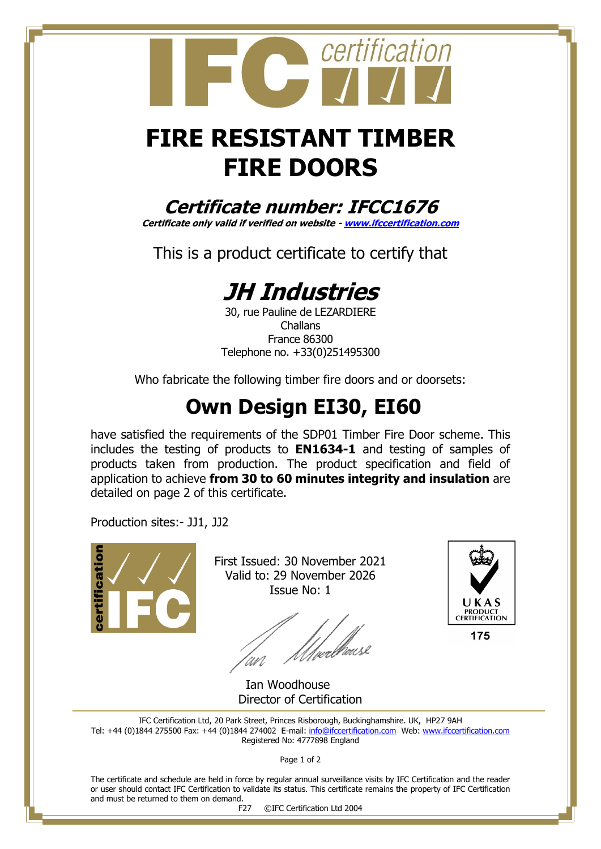## **FIRE RESISTANT TIMBER FIRE DOORS**

certification

**Certificate number: IFCC1676**

**Certificate only valid if verified on website - [www.ifccertification.com](http://www.ifccertification.com/)**

This is a product certificate to certify that

## **JH Industries**

30, rue Pauline de LEZARDIERE Challans France 86300 Telephone no. +33(0)251495300

Who fabricate the following timber fire doors and or doorsets:

## **Own Design EI30, EI60**

have satisfied the requirements of the SDP01 Timber Fire Door scheme. This includes the testing of products to **EN1634-1** and testing of samples of products taken from production. The product specification and field of application to achieve **from 30 to 60 minutes integrity and insulation** are detailed on page 2 of this certificate.

Production sites:- JJ1, JJ2



First Issued: 30 November 2021 Valid to: 29 November 2026 Issue No: 1

'<br>[µrlf@usl



Ian Woodhouse Director of Certification

IFC Certification Ltd, 20 Park Street, Princes Risborough, Buckinghamshire. UK, HP27 9AH Tel: +44 (0)1844 275500 Fax: +44 (0)1844 274002 E-mail: [info@ifccertification.com](mailto:info@ifccertification.com) Web: [www.ifccertification.com](http://www.ifccertification.com/) Registered No: 4777898 England

Page 1 of 2

The certificate and schedule are held in force by regular annual surveillance visits by IFC Certification and the reader or user should contact IFC Certification to validate its status. This certificate remains the property of IFC Certification and must be returned to them on demand.<br>F27

©IFC Certification Ltd 2004